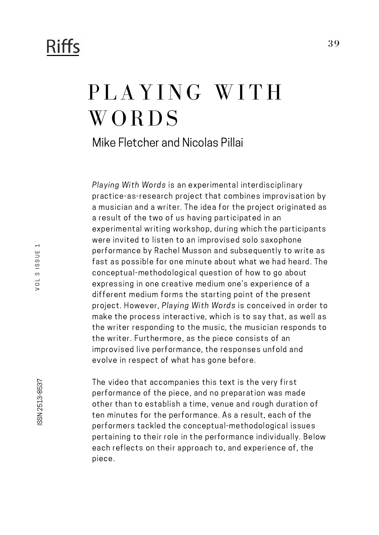## **Riffs**

## PLAYING WITH **WORDS**

Mike Fletcher and Nicolas Pillai

Playing With Words is an experimental interdisciplinary practice-as-research project that combines improvisation by a musician and a writer. The idea for the project originated as a result of the two of us having participated in an experimental writing workshop, during which the participants were invited to listen to an improvised solo saxophone performance by Rachel Musson and subsequently to write as fast as possible for one minute about what we had heard. The conceptual-methodological question of how to go about expressing in one creative medium one's experience of a different medium forms the starting point of the present project. However, Playing With Words is conceived in order to make the process interactive, which is to say that, as well as the writer responding to the music, the musician responds to the writer. Furthermore, as the piece consists of an improvised live performance, the responses unfold and evolve in respect of what has gone before.

The video that accompanies this text is the very first performance of the piece, and no preparation was made other than to establish a time, venue and rough duration of ten minutes for the performance. As a result, each of the performers tackled the conceptual-methodological issues pertaining to their role in the performance individually. Below each reflects on their approach to, and experience of, the piece.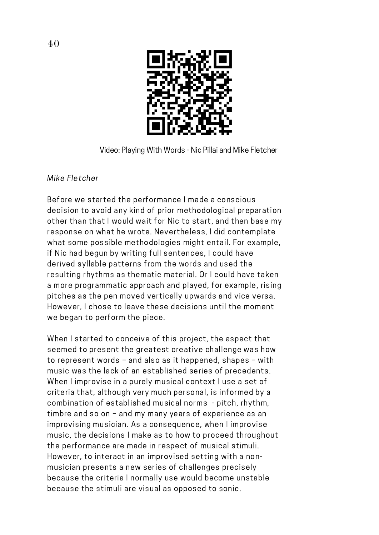

Video: Playing With Words - Nic Pillai and Mike Fletcher

## Mike Fletcher

Before we started the performance Imade a conscious decision to avoid any kind of prior methodological preparation other than that I would wait for Nic to start, and then base my response on what he wrote. Nevertheless, I did contemplate what some possible methodologies might entail. For example, if Nic had begun by writing full sentences, I could have derived syllable patterns from the words and used the resulting rhythms as thematic material. Or I could have taken a more programmatic approach and played, for example, rising pitches as the pen moved vertically upwards and vice versa. However, I chose to leave these decisions until the moment we began to perform the piece.

When I started to conceive of this project, the aspect that seemed to present the greatest creative challenge was how to represent words – and also as it happened, shapes – with music was the lack of an established series of precedents. When I improvise in a purely musical context I use a set of criteria that, although very much personal, is informed by a combination of established musical norms - pitch, rhythm, timbre and so on – and my many years of experience as an improvising musician. As a consequence, when I improvise music, the decisions I make as to how to proceed throughout the performance are made in respect of musical stimuli. However, to interact in an improvised setting with a non musician presents a new series of challenges precisely because the criteria I normally use would become unstable because the stimuli are visual as opposed to sonic.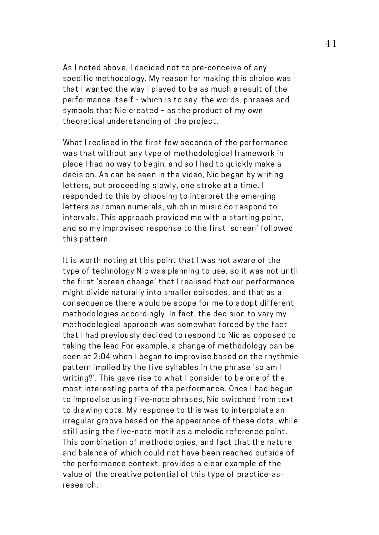As I noted above, I decided not to pre-conceive of any specific methodology. My reason for making this choice was that I wanted the way I played to be as much a result of the performance itself - which is to say, the words, phrases and symbols that Nic created – as the product of my own theoretical understanding of the project.

What I realised in the first few seconds of the performance was that without any type of methodological framework in place I had no way to begin, and so Ihad to quickly make a decision. As can be seen in the video, Nic began by writing letters, but proceeding slowly, one stroke at a time. I responded to this by choosing to interpret the emerging letters as roman numerals, which in music correspond to intervals. This approach provided me with a starting point, and so my improvised response to the first 'screen' followed this pattern.

It is worth noting at this point that I was not aware of the type of technology Nic was planning to use, so it was not until the first 'screen change' that I realised that our performance might divide naturally into smaller episodes, and that as a consequence there would be scope for me to adopt different methodologies accordingly. In fact, the decision to vary my methodological approach was somewhat forced by the fact that I had previously decided to respond to Nic as opposed to taking the lead.For example, a change of methodology can be seen at 2:04 when I began to improvise based on the rhythmic pattern implied by the five syllables in the phrase 'so am I writing?'. This gave rise to what I consider to be one of the most interesting parts of the performance. Once I had begun to improvise using five-note phrases, Nic switched from text to drawing dots. My response to this was to interpolate an irregular groove based on the appearance of these dots, while still using the five-note motif as a melodic reference point. This combination of methodologies, and fact that the nature and balance of which could not have been reached outside of the performance context, provides a clear example of the value of the creative potential of this type of practice-asresearch.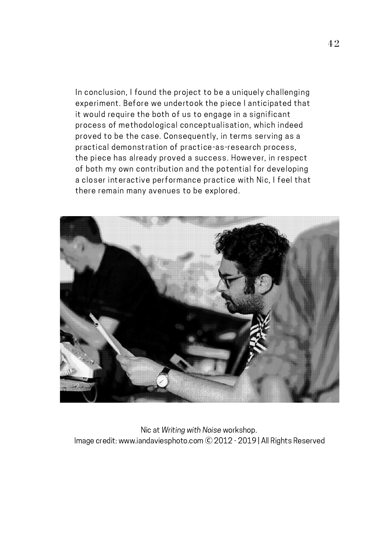In conclusion, I found the project to be a uniquely challenging experiment. Before we undertook the piece I anticipated that it would require the both of us to engage in a significant process of methodological conceptualisation, which indeed proved to be the case. Consequently, in terms serving as a practical demonstration of practice-as-research process, the piece has already proved a success. However, in respect of both my own contribution and the potential for developing a closer interactive performance practice with Nic, I feel that there remain many avenues to be explored.



Nic at Writing with Noise workshop. Image credit: www.iandaviesphoto.com Ⓒ 2012 - 2019 | All Rights Reserved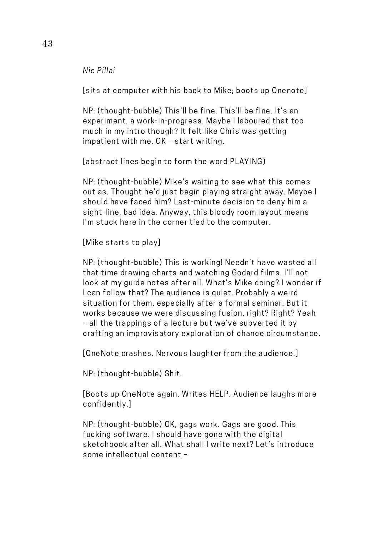Nic Pillai

[sits at computer with his back to Mike; boots up Onenote]

NP: (thought-bubble) This'll be fine. This'll be fine. It's an experiment, a work-in-progress. Maybe I laboured that too much in my intro though? It felt like Chris was getting impatient with me. OK – start writing.

[abstract lines begin to form the word PLAYING)

NP: (thought-bubble) Mike's waiting to see what this comes out as. Thought he'd just begin playing straight away. Maybe I should have faced him? Last-minute decision to deny him a sight-line, bad idea. Anyway, this bloody room layout means I'm stuck here in the corner tied to the computer.

[Mike starts to play]

NP: (thought-bubble) This is working! Needn't have wasted all that time drawing charts and watching Godard films. I'll not look at my guide notes after all. What's Mike doing? I wonder if I can follow that? The audience is quiet. Probably a weird situation for them, especially after a formal seminar. But it works because we were discussing fusion, right? Right? Yeah – all the trappings of a lecture but we've subverted it by crafting an improvisatory exploration of chance circumstance.

[OneNote crashes. Nervous laughter from the audience.]

NP: (thought-bubble) Shit.

[Boots up OneNote again. Writes HELP. Audience laughs more confidently.]

NP: (thought-bubble) OK, gags work. Gags are good. This fucking software. I should have gone with the digital sketchbook after all. What shall I write next? Let's introduce some intellectual content –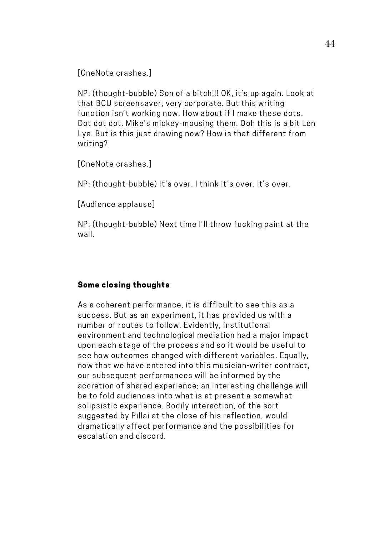[OneNote crashes.]

NP: (thought-bubble) Son of a bitch!!! OK, it's up again. Look at that BCU screensaver, very corporate. But this writing function isn't working now. How about if I make these dots. Dot dot dot. Mike's mickey-mousing them. Ooh this is a bit Len Lye. But is this just drawing now? How is that different from writing?

[OneNote crashes.]

NP: (thought-bubble) It's over. I think it's over. It's over.

[Audience applause]

NP: (thought-bubble) Next time I'll throw fucking paint at the wall.

## Some closing thoughts

As a coherent performance, it is difficult to see this as a success. But as an experiment, it has provided us with a number of routes to follow. Evidently, institutional environment and technological mediation had a major impact upon each stage of the process and so it would be useful to see how outcomes changed with different variables. Equally, now that we have entered into this musician-writer contract, our subsequent performances will be informed by the accretion of shared experience; an interesting challenge will be to fold audiences into what is at present a somewhat solipsistic experience. Bodily interaction, of the sort suggested by Pillai at the close of his reflection, would dramatically affect performance and the possibilities for escalation and discord.